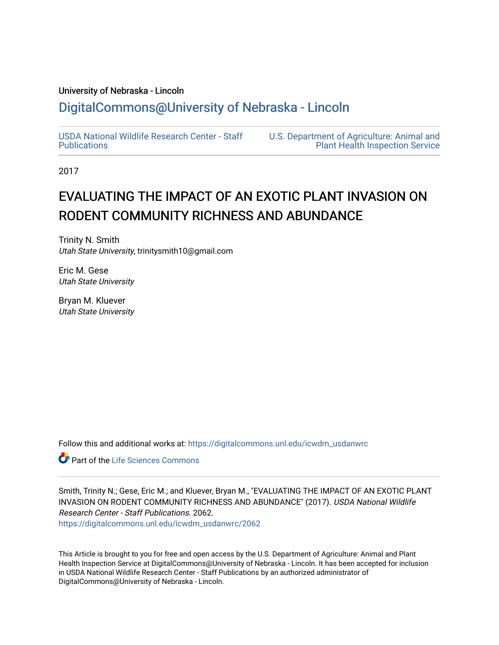## University of Nebraska - Lincoln

# [DigitalCommons@University of Nebraska - Lincoln](https://digitalcommons.unl.edu/)

[USDA National Wildlife Research Center - Staff](https://digitalcommons.unl.edu/icwdm_usdanwrc)  [Publications](https://digitalcommons.unl.edu/icwdm_usdanwrc) 

[U.S. Department of Agriculture: Animal and](https://digitalcommons.unl.edu/usdaaphis)  [Plant Health Inspection Service](https://digitalcommons.unl.edu/usdaaphis) 

2017

# EVALUATING THE IMPACT OF AN EXOTIC PLANT INVASION ON RODENT COMMUNITY RICHNESS AND ABUNDANCE

Trinity N. Smith Utah State University, trinitysmith10@gmail.com

Eric M. Gese Utah State University

Bryan M. Kluever Utah State University

Follow this and additional works at: [https://digitalcommons.unl.edu/icwdm\\_usdanwrc](https://digitalcommons.unl.edu/icwdm_usdanwrc?utm_source=digitalcommons.unl.edu%2Ficwdm_usdanwrc%2F2062&utm_medium=PDF&utm_campaign=PDFCoverPages)

Part of the [Life Sciences Commons](http://network.bepress.com/hgg/discipline/1016?utm_source=digitalcommons.unl.edu%2Ficwdm_usdanwrc%2F2062&utm_medium=PDF&utm_campaign=PDFCoverPages) 

Smith, Trinity N.; Gese, Eric M.; and Kluever, Bryan M., "EVALUATING THE IMPACT OF AN EXOTIC PLANT INVASION ON RODENT COMMUNITY RICHNESS AND ABUNDANCE" (2017). USDA National Wildlife Research Center - Staff Publications. 2062. [https://digitalcommons.unl.edu/icwdm\\_usdanwrc/2062](https://digitalcommons.unl.edu/icwdm_usdanwrc/2062?utm_source=digitalcommons.unl.edu%2Ficwdm_usdanwrc%2F2062&utm_medium=PDF&utm_campaign=PDFCoverPages) 

This Article is brought to you for free and open access by the U.S. Department of Agriculture: Animal and Plant Health Inspection Service at DigitalCommons@University of Nebraska - Lincoln. It has been accepted for inclusion in USDA National Wildlife Research Center - Staff Publications by an authorized administrator of DigitalCommons@University of Nebraska - Lincoln.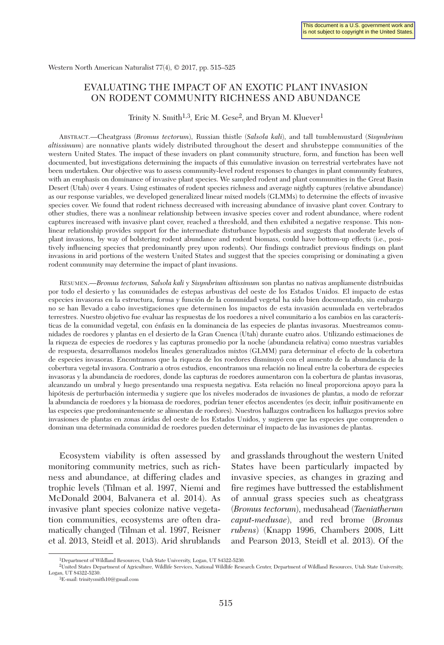### EVALUATING THE IMPACT OF AN EXOTIC PLANT INVASION ON RODENT COMMUNITY RICHNESS AND ABUNDANCE

Trinity N. Smith<sup>1,3</sup>, Eric M. Gese<sup>2</sup>, and Bryan M. Kluever<sup>1</sup>

 ABSTRACT.—Cheatgrass (*Bromus tectorum*), Russian thistle (*Salsola kali*), and tall tumblemustard (*Sisymbrium altissimum*) are nonnative plants widely distributed throughout the desert and shrubsteppe communities of the western United States. The impact of these invaders on plant community structure, form, and function has been well documented, but investigations determining the impacts of this cumulative invasion on terrestrial vertebrates have not been undertaken. Our objective was to assess community-level rodent responses to changes in plant community features, with an emphasis on dominance of invasive plant species. We sampled rodent and plant communities in the Great Basin Desert (Utah) over 4 years. Using estimates of rodent species richness and average nightly captures (relative abundance) as our response variables, we developed generalized linear mixed models (GLMMs) to determine the effects of invasive species cover. We found that rodent richness decreased with increasing abundance of invasive plant cover. Contrary to other studies, there was a nonlinear relationship between invasive species cover and rodent abundance, where rodent captures increased with invasive plant cover, reached a threshold, and then exhibited a negative response. This nonlinear relationship provides support for the intermediate disturbance hypothesis and suggests that moderate levels of plant invasions, by way of bolstering rodent abundance and rodent biomass, could have bottom-up effects (i.e., positively influencing species that predominantly prey upon rodents). Our findings contradict previous findings on plant invasions in arid portions of the western United States and suggest that the species comprising or dominating a given rodent community may determine the impact of plant invasions.

 RESUMEN.—*Bromus tectorum, Salsola kali* y *Sisymbrium altissimum* son plantas no nativas ampliamente distribuidas por todo el desierto y las comunidades de estepas arbustivas del oeste de los Estados Unidos. El impacto de estas especies invasoras en la estructura, forma y función de la comunidad vegetal ha sido bien documentado, sin embargo no se han llevado a cabo investigaciones que determinen los impactos de esta invasión acumulada en vertebrados terrestres. Nuestro objetivo fue evaluar las respuestas de los roedores a nivel comunitario a los cambios en las características de la comunidad vegetal, con énfasis en la dominancia de las especies de plantas invasoras. Muestreamos comunidades de roedores y plantas en el desierto de la Gran Cuenca (Utah) durante cuatro años. Utilizando estimaciones de la riqueza de especies de roedores y las capturas promedio por la noche (abundancia relativa) como nuestras variables de respuesta, desarrollamos modelos lineales generalizados mixtos (GLMM) para determinar el efecto de la cobertura de especies invasoras. Encontramos que la riqueza de los roedores disminuyó con el aumento de la abundancia de la cobertura vegetal invasora. Contrario a otros estudios, encontramos una relación no lineal entre la cobertura de especies invasoras y la abundancia de roedores, donde las capturas de roedores aumentaron con la cobertura de plantas invasoras, alcanzando un umbral y luego presentando una respuesta negativa. Esta relación no lineal proporciona apoyo para la hipótesis de perturbación intermedia y sugiere que los niveles moderados de invasiones de plantas, a modo de reforzar la abundancia de roedores y la biomasa de roedores, podrían tener efectos ascendentes (es decir, influir positivamente en las especies que predominantemente se alimentan de roedores). Nuestros hallazgos contradicen los hallazgos previos sobre invasiones de plantas en zonas áridas del oeste de los Estados Unidos, y sugieren que las especies que comprenden o dominan una determinada comunidad de roedores pueden determinar el impacto de las invasiones de plantas.

 Ecosystem viability is often assessed by monitoring community metrics, such as richness and abundance, at differing clades and trophic levels (Tilman et al. 1997, Niemi and McDonald 2004, Balvanera et al. 2014). As invasive plant species colonize native vegetation communities, ecosystems are often dramatically changed (Tilman et al. 1997, Reisner et al. 2013, Steidl et al. 2013). Arid shrublands and grasslands throughout the western United States have been particularly impacted by invasive species, as changes in grazing and fire regimes have buttressed the establishment of annual grass species such as cheatgrass (*Bromus tectorum*), medusahead (*Taeniatherum caput-medusae*), and red brome (*Bromus rubens*) (Knapp 1996, Chambers 2008, Litt and Pearson 2013, Steidl et al. 2013). Of the

 <sup>1</sup>Department of Wildland Resources, Utah State University, Logan, UT 84322-5230.

 <sup>2</sup>United States Department of Agriculture, Wildlife Services, National Wildlife Research Center, Department of Wildland Resources, Utah State University, Logan, UT 84322-5230.

 <sup>3</sup>E-mail: trinitysmith10@gmail.com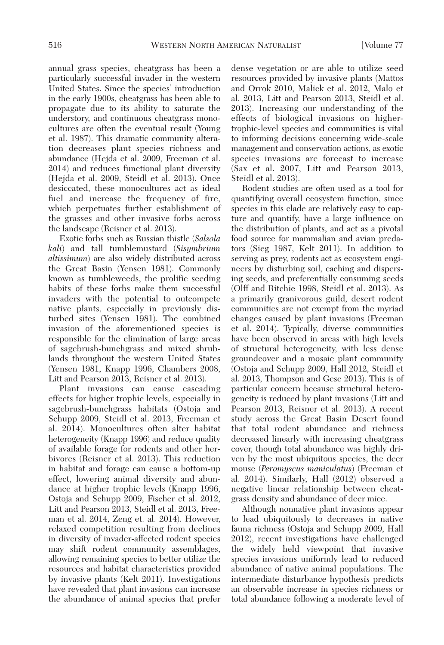annual grass species, cheatgrass has been a particularly successful invader in the western United States. Since the species' introduction in the early 1900s, cheatgrass has been able to propagate due to its ability to saturate the understory, and continuous cheatgrass monocultures are often the eventual result (Young et al. 1987). This dramatic community altera tion decreases plant species richness and abundance (Hejda et al. 2009, Freeman et al. 2014) and reduces functional plant diversity (Hejda et al. 2009, Steidl et al. 2013). Once desiccated, these monocultures act as ideal fuel and increase the frequency of fire, which perpetuates further establishment of the grasses and other invasive forbs across the landscape (Reisner et al. 2013).

 Exotic forbs such as Russian thistle (*Salsola kali*) and tall tumblemustard (*Sisymbrium altissimum*) are also widely distributed across the Great Basin (Yensen 1981). Commonly known as tumbleweeds, the prolific seeding habits of these forbs make them successful invaders with the potential to outcompete native plants, especially in previously disturbed sites (Yensen 1981). The combined invasion of the aforementioned species is responsible for the elimination of large areas of sagebrush-bunchgrass and mixed shrublands throughout the western United States (Yensen 1981, Knapp 1996, Chambers 2008, Litt and Pearson 2013, Reisner et al. 2013).

 Plant invasions can cause cascading effects for higher trophic levels, especially in sagebrush-bunchgrass habitats (Ostoja and Schupp 2009, Steidl et al. 2013, Freeman et al. 2014). Monocultures often alter habitat heterogeneity (Knapp 1996) and reduce quality of available forage for rodents and other herbivores (Reisner et al. 2013). This reduction in habitat and forage can cause a bottom-up effect, lowering animal diversity and abundance at higher trophic levels (Knapp 1996, Ostoja and Schupp 2009, Fischer et al. 2012, Litt and Pearson 2013, Steidl et al. 2013, Freeman et al. 2014, Zeng et. al. 2014). However, relaxed competition resulting from declines in diversity of invader-affected rodent species may shift rodent community assemblages, allowing remaining species to better utilize the resources and habitat characteristics provided by invasive plants (Kelt 2011). Investigations have revealed that plant invasions can increase the abundance of animal species that prefer

dense vegetation or are able to utilize seed resources provided by invasive plants (Mattos and Orrok 2010, Malick et al. 2012, Malo et al. 2013, Litt and Pearson 2013, Steidl et al. 2013). Increasing our understanding of the effects of biological invasions on highertrophic-level species and communities is vital to informing decisions concerning wide-scale management and conservation actions, as exotic species invasions are forecast to increase (Sax et al. 2007, Litt and Pearson 2013, Steidl et al. 2013).

 Rodent studies are often used as a tool for quantifying overall ecosystem function, since species in this clade are relatively easy to capture and quantify, have a large influence on the distribution of plants, and act as a pivotal food source for mammalian and avian predators (Sieg 1987, Kelt 2011). In addition to serving as prey, rodents act as ecosystem engineers by disturbing soil, caching and dispersing seeds, and preferentially consuming seeds (Olff and Ritchie 1998, Steidl et al. 2013). As a primarily granivorous guild, desert rodent communities are not exempt from the myriad changes caused by plant invasions (Freeman et al. 2014). Typically, diverse communities have been observed in areas with high levels of structural heterogeneity, with less dense ground cover and a mosaic plant community (Ostoja and Schupp 2009, Hall 2012, Steidl et al. 2013, Thompson and Gese 2013). This is of particular concern because structural heterogeneity is reduced by plant invasions (Litt and Pearson 2013, Reisner et al. 2013). A recent study across the Great Basin Desert found that total rodent abundance and richness decreased linearly with increasing cheatgrass cover, though total abundance was highly driven by the most ubiquitous species, the deer mouse (*Pero myscus maniculatus*) (Freeman et al. 2014). Similarly, Hall (2012) observed a negative linear relationship between cheatgrass density and abundance of deer mice.

 Although nonnative plant invasions appear to lead ubiquitously to decreases in native fauna richness (Ostoja and Schupp 2009, Hall 2012), recent investigations have challenged the widely held viewpoint that invasive species invasions uniformly lead to reduced abundance of native animal populations. The intermediate disturbance hypothesis predicts an observable increase in species richness or total abundance following a moderate level of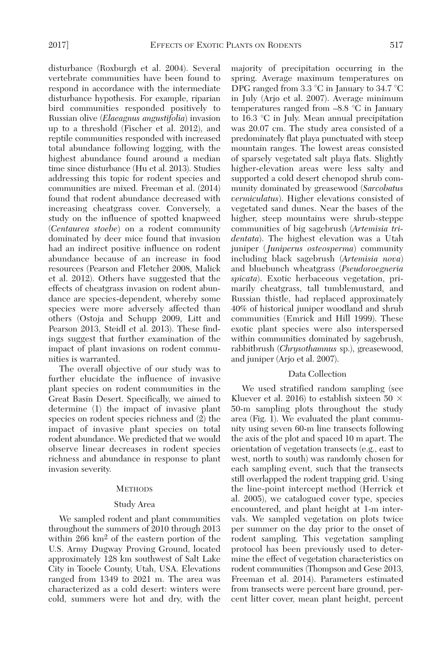disturbance (Roxburgh et al. 2004). Several vertebrate communities have been found to respond in accordance with the intermediate disturbance hypothesis. For example, riparian bird communities responded positively to Russian olive (*Elaeagnus angustifolia*) invasion up to a threshold (Fischer et al. 2012), and reptile communities responded with increased total abundance following logging, with the highest abundance found around a median time since disturbance (Hu et al. 2013). Studies addressing this topic for rodent species and communities are mixed. Freeman et al. (2014) found that rodent abundance decreased with increasing cheatgrass cover. Conversely, a study on the influence of spotted knapweed (*Centaurea stoebe*) on a rodent community dominated by deer mice found that invasion had an indirect positive influence on rodent abundance because of an increase in food resources (Pearson and Fletcher 2008, Malick et al. 2012). Others have suggested that the effects of cheatgrass invasion on rodent abundance are species-dependent, whereby some species were more adversely affected than others (Ostoja and Schupp 2009, Litt and Pearson 2013, Steidl et al. 2013). These findings suggest that further examination of the impact of plant invasions on rodent communities is warranted.

 The overall objective of our study was to further elucidate the influence of invasive plant species on rodent communities in the Great Basin Desert. Specifically, we aimed to determine (1) the impact of invasive plant species on rodent species richness and (2) the impact of invasive plant species on total rodent abundance. We predicted that we would observe linear decreases in rodent species richness and abundance in response to plant invasion severity.

#### **METHODS**

#### Study Area

 We sampled rodent and plant communities throughout the summers of 2010 through 2013 within 266 km2 of the eastern portion of the U.S. Army Dugway Proving Ground, located approximately 128 km southwest of Salt Lake City in Tooele County, Utah, USA. Elevations ranged from 1349 to 2021 m. The area was characterized as a cold desert: winters were cold, summers were hot and dry, with the majority of precipitation occurring in the spring. Average maximum temperatures on DPG ranged from 3.3 °C in January to 34.7 °C in July (Arjo et al. 2007). Average minimum temperatures ranged from –8.8 °C in January to 16.3 °C in July. Mean annual precipitation was 20.07 cm. The study area consisted of a predominately flat playa punctuated with steep mountain ranges. The lowest areas consisted of sparsely vegetated salt playa flats. Slightly higher-elevation areas were less salty and supported a cold desert chenopod shrub community dominated by greasewood (*Sarcobatus vermiculatus*). Higher elevations consisted of vegetated sand dunes. Near the bases of the higher, steep mountains were shrub-steppe communities of big sagebrush (*Artemisia tridentata*). The highest elevation was a Utah juniper (*Juniperus osteosperma*) community including black sagebrush (*Artemisia nova*) and bluebunch wheatgrass (*Pseudoroegneria spicata*). Exotic herbaceous vegetation, primarily cheatgrass, tall tumblemustard, and Russian thistle, had replaced approximately 40% of historical juniper woodland and shrub communities (Emrick and Hill 1999). These exotic plant species were also interspersed within communities dominated by sagebrush, rabbitbrush (*Chrysothamnus* sp.), greasewood, and juniper (Arjo et al. 2007).

#### Data Collection

 We used stratified random sampling (see Kluever et al. 2016) to establish sixteen 50  $\times$ 50-m sampling plots throughout the study area (Fig. 1). We evaluated the plant community using seven 60-m line transects following the axis of the plot and spaced 10 m apart. The orientation of vegetation transects (e.g., east to west, north to south) was randomly chosen for each sampling event, such that the transects still overlapped the rodent trapping grid. Using the line-point intercept method (Herrick et al. 2005), we catalogued cover type, species encountered, and plant height at 1-m intervals. We sampled vegetation on plots twice per summer on the day prior to the onset of rodent sampling. This vegetation sampling protocol has been previously used to determine the effect of vegetation characteristics on rodent communities (Thompson and Gese 2013, Freeman et al. 2014). Parameters estimated from transects were percent bare ground, percent litter cover, mean plant height, percent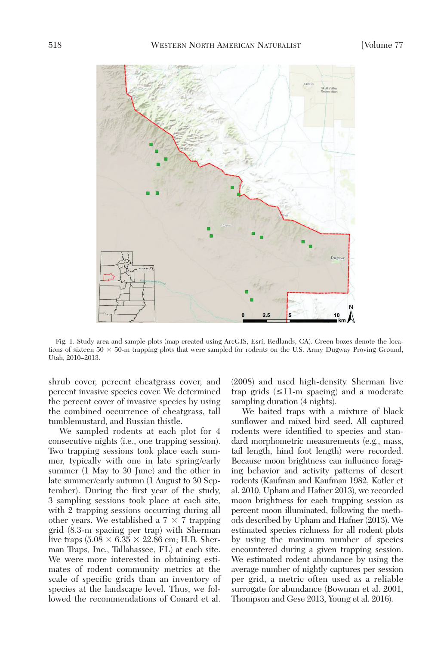

 Fig. 1. Study area and sample plots (map created using ArcGIS, Esri, Redlands, CA). Green boxes denote the locations of sixteen  $50 \times 50$ -m trapping plots that were sampled for rodents on the U.S. Army Dugway Proving Ground, Utah, 2010–2013.

shrub cover, percent cheatgrass cover, and percent invasive species cover. We determined the percent cover of invasive species by using the combined occurrence of cheatgrass, tall tumblemustard, and Russian thistle.

 We sampled rodents at each plot for 4 consecutive nights (i.e., one trapping session). Two trapping sessions took place each summer, typically with one in late spring/early summer (1 May to 30 June) and the other in late summer/early autumn (1 August to 30 September). During the first year of the study, 3 sampling sessions took place at each site, with 2 trapping sessions occurring during all other years. We established a  $7 \times 7$  trapping grid (8.3-m spacing per trap) with Sherman live traps  $(5.08 \times 6.35 \times 22.86 \text{ cm}; \text{H.B. Sher-}$ man Traps, Inc., Tallahassee, FL) at each site. We were more interested in obtaining estimates of rodent community metrics at the scale of specific grids than an inventory of species at the landscape level. Thus, we followed the recommendations of Conard et al.

(2008) and used high-density Sherman live trap grids (**≤**11-m spacing) and a moderate sampling duration (4 nights).

 We baited traps with a mixture of black sunflower and mixed bird seed. All captured rodents were identified to species and standard morphometric measurements (e.g., mass, tail length, hind foot length) were recorded. Because moon brightness can influence foraging behavior and activity patterns of desert rodents (Kaufman and Kaufman 1982, Kotler et al. 2010, Upham and Hafner 2013), we recorded moon brightness for each trapping session as percent moon illuminated, following the methods described by Upham and Hafner (2013). We estimated species richness for all rodent plots by using the maximum number of species encountered during a given trapping session. We estimated rodent abundance by using the average number of nightly captures per session per grid, a metric often used as a reliable surrogate for abundance (Bowman et al. 2001, Thompson and Gese 2013, Young et al. 2016).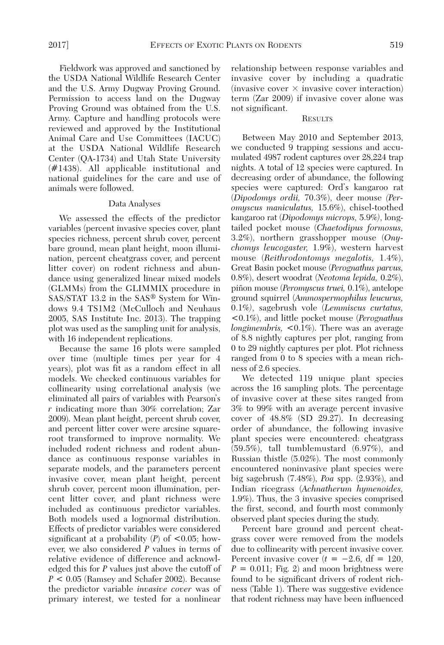Fieldwork was approved and sanctioned by the USDA National Wildlife Research Center and the U.S. Army Dugway Proving Ground. Permission to access land on the Dugway Proving Ground was obtained from the U.S. Army. Capture and handling protocols were reviewed and approved by the Institutional Animal Care and Use Committees (IACUC) at the USDA National Wildlife Research Center (QA-1734) and Utah State University (#1438). All applicable institutional and national guidelines for the care and use of animals were followed.

#### Data Analyses

 We assessed the effects of the predictor variables (percent invasive species cover, plant species richness, percent shrub cover, percent bare ground, mean plant height, moon illumination, percent cheatgrass cover, and percent litter cover) on rodent richness and abundance using generalized linear mixed models (GLMMs) from the GLIMMIX procedure in SAS/STAT 13.2 in the SAS® System for Windows 9.4 TS1M2 (McCulloch and Neuhaus 2005, SAS Institute Inc. 2013). The trapping plot was used as the sampling unit for analysis, with 16 independent replications.

 Because the same 16 plots were sampled over time (multiple times per year for 4 years), plot was fit as a random effect in all models. We checked continuous variables for collinearity using correlational analysis (we eliminated all pairs of variables with Pearson's *r* indicating more than 30% correlation; Zar 2009). Mean plant height, percent shrub cover, and percent litter cover were arcsine squareroot transformed to improve normality. We included rodent richness and rodent abundance as continuous response variables in separate models, and the parameters percent invasive cover, mean plant height, percent shrub cover, percent moon illumination, percent litter cover, and plant richness were included as continuous predictor variables. Both models used a lognormal distribution. Effects of predictor variables were considered significant at a probability  $(P)$  of  $\lt$  0.05; however, we also considered *P* values in terms of relative evidence of difference and acknowledged this for *P* values just above the cutoff of *P* < 0.05 (Ramsey and Schafer 2002). Because the predictor variable *invasive cover* was of primary interest, we tested for a nonlinear

relationship between response variables and invasive cover by including a quadratic (invasive cover  $\times$  invasive cover interaction) term (Zar 2009) if invasive cover alone was not significant.

#### **RESULTS**

 Between May 2010 and September 2013, we conducted 9 trapping sessions and accumulated 4987 rodent captures over 28,224 trap nights. A total of 12 species were captured. In decreasing order of abundance, the following species were captured: Ord's kangaroo rat (*Dipodomys ordii,* 70.3%), deer mouse *(Peromyscus maniculatus,* 15.6%), chisel-toothed kangaroo rat (*Dipodomys microps,* 5.9%*)*, longtailed pocket mouse (*Chaetodipus formosus,* 3.2%), northern grasshopper mouse (*Onychomys leucogaster,* 1.9%), western harvest mouse (*Reithrodontomys megalotis,* 1.4%), Great Basin pocket mouse (*Perognathus parvus,* 0.8%), desert woodrat (*Neotoma lepida,* 0.2%), piñon mouse (*Peromyscus truei,* 0.1%), antelope ground squirrel (*Ammospermophilus leucurus,* 0.1%*)*, sagebrush vole (*Lemmiscus curtatus,* <0.1%), and little pocket mouse (*Perognathus longimembris,* <0.1%). There was an average of 8.8 nightly captures per plot, ranging from 0 to 29 nightly captures per plot. Plot richness ranged from 0 to 8 species with a mean richness of 2.6 species.

 We detected 119 unique plant species across the 16 sampling plots. The percentage of invasive cover at these sites ranged from 3% to 99% with an average percent invasive cover of 48.8% (SD 29.27). In decreasing order of abundance, the following invasive plant species were encountered: cheatgrass (59.5%), tall tumblemustard (6.97%), and Russian thistle (5.02%). The most commonly encountered noninvasive plant species were big sagebrush (7.48%), *Poa* spp. (2.93%), and Indian ricegrass (*Achnatherum hymenoides,* 1.9%). Thus, the 3 invasive species comprised the first, second, and fourth most commonly observed plant species during the study.

 Percent bare ground and percent cheatgrass cover were removed from the models due to collinearity with percent invasive cover. Percent invasive cover  $(t = -2.6, df = 120,$  $P = 0.011$ ; Fig. 2) and moon brightness were found to be significant drivers of rodent richness (Table 1). There was suggestive evidence that rodent richness may have been influenced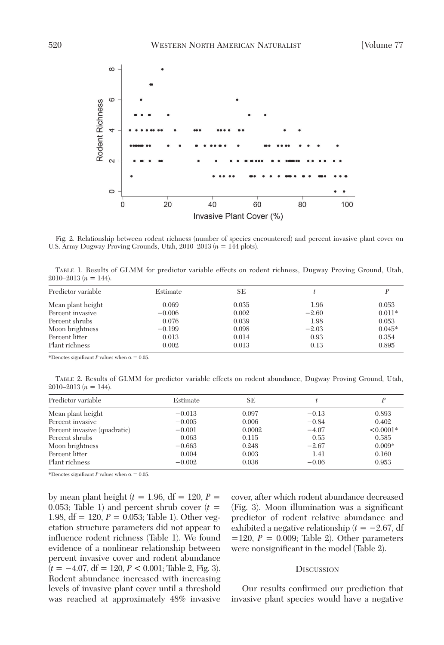

 Fig. 2. Relationship between rodent richness (number of species encountered) and percent invasive plant cover on U.S. Army Dugway Proving Grounds, Utah, 2010–2013 (*n* = 144 plots).

 TABLE 1. Results of GLMM for predictor variable effects on rodent richness, Dugway Proving Ground, Utah,  $2010-2013 (n = 144).$ 

| Predictor variable | Estimate | SE    |         |          |
|--------------------|----------|-------|---------|----------|
| Mean plant height  | 0.069    | 0.035 | 1.96    | 0.053    |
| Percent invasive   | $-0.006$ | 0.002 | $-2.60$ | $0.011*$ |
| Percent shrubs     | 0.076    | 0.039 | 1.98    | 0.053    |
| Moon brightness    | $-0.199$ | 0.098 | $-2.03$ | $0.045*$ |
| Percent litter     | 0.013    | 0.014 | 0.93    | 0.354    |
| Plant richness     | 0.002    | 0.013 | 0.13    | 0.895    |

\*Denotes significant *P* values when  $\alpha = 0.05$ .

 TABLE 2. Results of GLMM for predictor variable effects on rodent abundance, Dugway Proving Ground, Utah,  $2010-2013 (n = 144).$ 

| Predictor variable           | Estimate | SЕ     |         |             |
|------------------------------|----------|--------|---------|-------------|
| Mean plant height            | $-0.013$ | 0.097  | $-0.13$ | 0.893       |
| Percent invasive             | $-0.005$ | 0.006  | $-0.84$ | 0.402       |
| Percent invasive (quadratic) | $-0.001$ | 0.0002 | $-4.07$ | $< 0.0001*$ |
| Percent shrubs               | 0.063    | 0.115  | 0.55    | 0.585       |
| Moon brightness              | $-0.663$ | 0.248  | $-2.67$ | $0.009*$    |
| Percent litter               | 0.004    | 0.003  | 1.41    | 0.160       |
| Plant richness               | $-0.002$ | 0.036  | $-0.06$ | 0.953       |

\*Denotes significant  $P$  values when  $\alpha=0.05.$ 

by mean plant height  $(t = 1.96, df = 120, P =$ 0.053; Table 1) and percent shrub cover (*t =* 1.98,  $df = 120$ ,  $P = 0.053$ ; Table 1). Other vegetation structure parameters did not appear to influence rodent richness (Table 1). We found evidence of a nonlinear relationship between percent invasive cover and rodent abundance (*t =* −4.07, df = 120, *P* < 0.001; Table 2, Fig. 3). Rodent abundance increased with increasing levels of invasive plant cover until a threshold was reached at approximately 48% invasive cover, after which rodent abundance decreased (Fig. 3). Moon illumination was a significant predictor of rodent relative abundance and exhibited a negative relationship (*t =* −2.67, df  $=120$ ,  $P = 0.009$ ; Table 2). Other parameters were nonsignificant in the model (Table 2).

#### **DISCUSSION**

 Our results confirmed our prediction that invasive plant species would have a negative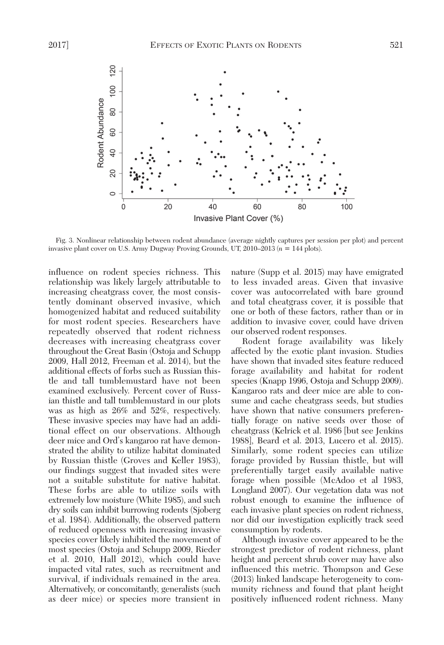

 Fig. 3. Nonlinear relationship between rodent abundance (average nightly captures per session per plot) and percent invasive plant cover on U.S. Army Dugway Proving Grounds, UT, 2010–2013 (*n* = 144 plots).

influence on rodent species richness. This relationship was likely largely attributable to increasing cheatgrass cover, the most consistently dominant observed invasive, which homogenized habitat and reduced suitability for most rodent species. Researchers have repeatedly observed that rodent richness decreases with increasing cheatgrass cover throughout the Great Basin (Ostoja and Schupp 2009, Hall 2012, Freeman et al. 2014), but the additional effects of forbs such as Russian thistle and tall tumblemustard have not been examined exclusively. Percent cover of Russian thistle and tall tumblemustard in our plots was as high as 26% and 52%, respectively. These invasive species may have had an additional effect on our observations. Although deer mice and Ord's kangaroo rat have demonstrated the ability to utilize habitat dominated by Russian thistle (Groves and Keller 1983), our findings suggest that invaded sites were not a suitable substitute for native habitat. These forbs are able to utilize soils with extremely low moisture (White 1985), and such dry soils can inhibit burrowing rodents (Sjoberg et al. 1984). Additionally, the observed pattern of reduced openness with increasing invasive species cover likely inhibited the movement of most species (Ostoja and Schupp 2009, Rieder et al. 2010, Hall 2012), which could have impacted vital rates, such as recruitment and survival, if individuals remained in the area. Alternatively, or concomitantly, generalists (such as deer mice) or species more transient in

nature (Supp et al. 2015) may have emigrated to less invaded areas. Given that invasive cover was autocorrelated with bare ground and total cheatgrass cover, it is possible that one or both of these factors, rather than or in addition to invasive cover, could have driven our observed rodent responses.

 Rodent forage availability was likely affected by the exotic plant invasion. Studies have shown that invaded sites feature reduced forage availability and habitat for rodent species (Knapp 1996, Ostoja and Schupp 2009). Kangaroo rats and deer mice are able to consume and cache cheatgrass seeds, but studies have shown that native consumers preferentially forage on native seeds over those of cheatgrass (Kelrick et al. 1986 [but see Jenkins 1988], Beard et al. 2013, Lucero et al. 2015). Similarly, some rodent species can utilize forage provided by Russian thistle, but will preferentially target easily available native forage when possible (McAdoo et al 1983, Longland 2007). Our vegetation data was not robust enough to examine the influence of each invasive plant species on rodent richness, nor did our investigation explicitly track seed consumption by rodents.

 Although invasive cover appeared to be the strongest predictor of rodent richness, plant height and percent shrub cover may have also influenced this metric. Thompson and Gese (2013) linked landscape heterogeneity to community richness and found that plant height positively influenced rodent richness. Many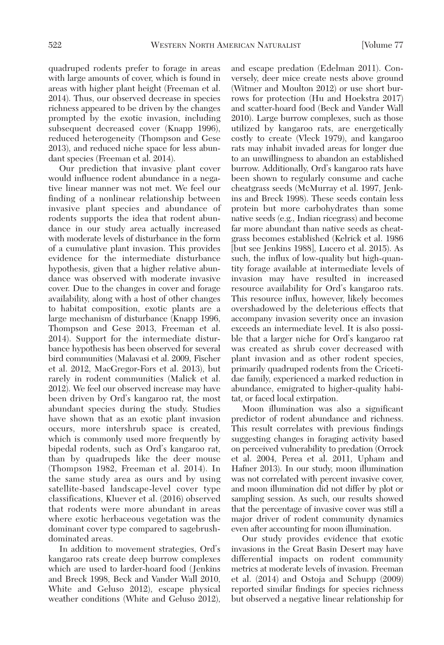quadruped rodents prefer to forage in areas with large amounts of cover, which is found in areas with higher plant height (Freeman et al. 2014). Thus, our observed decrease in species richness appeared to be driven by the changes prompted by the exotic invasion, including subsequent decreased cover (Knapp 1996), reduced heterogeneity (Thompson and Gese 2013), and reduced niche space for less abundant species (Freeman et al. 2014).

 Our prediction that invasive plant cover would influence rodent abundance in a negative linear manner was not met. We feel our finding of a nonlinear relationship between invasive plant species and abundance of rodents supports the idea that rodent abundance in our study area actually increased with moderate levels of disturbance in the form of a cumulative plant invasion. This provides evidence for the intermediate disturbance hypothesis, given that a higher relative abundance was observed with moderate invasive cover. Due to the changes in cover and forage availability, along with a host of other changes to habitat composition, exotic plants are a large mechanism of disturbance (Knapp 1996, Thompson and Gese 2013, Freeman et al. 2014). Support for the intermediate disturbance hypothesis has been observed for several bird communities (Malavasi et al. 2009, Fischer et al. 2012, MacGregor-Fors et al. 2013), but rarely in rodent communities (Malick et al. 2012). We feel our observed increase may have been driven by Ord's kangaroo rat, the most abundant species during the study. Studies have shown that as an exotic plant invasion occurs, more intershrub space is created, which is commonly used more frequently by bipedal rodents, such as Ord's kangaroo rat, than by quadrupeds like the deer mouse (Thompson 1982, Freeman et al. 2014). In the same study area as ours and by using satellite-based landscape-level cover type classifications, Kluever et al. (2016) observed that rodents were more abundant in areas where exotic herbaceous vegetation was the dominant cover type compared to sagebrushdominated areas.

 In addition to movement strategies, Ord's kangaroo rats create deep burrow complexes which are used to larder-hoard food (Jenkins and Breck 1998, Beck and Vander Wall 2010, White and Geluso 2012), escape physical weather conditions (White and Geluso 2012), and escape predation (Edelman 2011). Conversely, deer mice create nests above ground (Witmer and Moulton 2012) or use short burrows for protection (Hu and Hoekstra 2017) and scatter-hoard food (Beck and Vander Wall 2010). Large burrow complexes, such as those utilized by kangaroo rats, are energetically costly to create (Vleck 1979), and kangaroo rats may inhabit invaded areas for longer due to an unwillingness to abandon an established burrow. Additionally, Ord's kangaroo rats have been shown to regularly consume and cache cheatgrass seeds (McMurray et al. 1997, Jenkins and Breck 1998). These seeds contain less protein but more carbohydrates than some native seeds (e.g., Indian ricegrass) and become far more abundant than native seeds as cheatgrass becomes established (Kelrick et al. 1986 [but see Jenkins 1988], Lucero et al. 2015). As such, the influx of low-quality but high-quantity forage available at intermediate levels of invasion may have resulted in increased resource availability for Ord's kangaroo rats. This resource influx, however, likely becomes overshadowed by the deleterious effects that accompany invasion severity once an invasion exceeds an intermediate level. It is also possible that a larger niche for Ord's kangaroo rat was created as shrub cover decreased with plant invasion and as other rodent species, primarily quadruped rodents from the Cricetidae family, experienced a marked reduction in abundance, emigrated to higher-quality habitat, or faced local extirpation.

 Moon illumination was also a significant predictor of rodent abundance and richness. This result correlates with previous findings suggesting changes in foraging activity based on perceived vulnerability to predation (Orrock et al. 2004, Perea et al. 2011, Upham and Hafner 2013). In our study, moon illumination was not correlated with percent invasive cover, and moon illumination did not differ by plot or sampling session. As such, our results showed that the percentage of invasive cover was still a major driver of rodent community dynamics even after accounting for moon illumination.

 Our study provides evidence that exotic invasions in the Great Basin Desert may have differential impacts on rodent community metrics at moderate levels of invasion. Freeman et al. (2014) and Ostoja and Schupp (2009) reported similar findings for species richness but observed a negative linear relationship for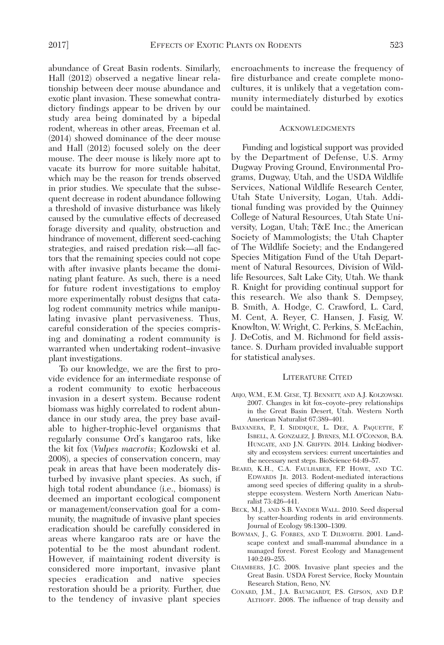abundance of Great Basin rodents. Similarly, Hall (2012) observed a negative linear relationship between deer mouse abundance and exotic plant invasion. These somewhat contradictory findings appear to be driven by our study area being dominated by a bipedal rodent, whereas in other areas, Freeman et al. (2014) showed dominance of the deer mouse and Hall (2012) focused solely on the deer mouse. The deer mouse is likely more apt to vacate its burrow for more suitable habitat, which may be the reason for trends observed in prior studies. We speculate that the subsequent decrease in rodent abundance following a threshold of invasive disturbance was likely caused by the cumulative effects of decreased forage diversity and quality, obstruction and hindrance of movement, different seed-caching strategies, and raised predation risk—all factors that the remaining species could not cope with after invasive plants became the dominating plant feature. As such, there is a need for future rodent investigations to employ more experimentally robust designs that catalog rodent community metrics while manipulating invasive plant pervasiveness. Thus, careful consideration of the species comprising and dominating a rodent community is warranted when undertaking rodent–invasive plant investigations.

 To our knowledge, we are the first to provide evidence for an intermediate response of a rodent community to exotic herbaceous invasion in a desert system. Because rodent biomass was highly correlated to rodent abundance in our study area, the prey base available to higher-trophic-level organisms that regularly consume Ord's kangaroo rats, like the kit fox (*Vulpes macrotis*; Kozlowski et al. 2008), a species of conservation concern, may peak in areas that have been moderately disturbed by invasive plant species. As such, if high total rodent abundance (i.e., biomass) is deemed an important ecological component or management/conservation goal for a community, the magnitude of invasive plant species eradication should be carefully considered in areas where kangaroo rats are or have the potential to be the most abundant rodent. However, if maintaining rodent diversity is considered more important, invasive plant species eradication and native species restoration should be a priority. Further, due to the tendency of invasive plant species

encroachments to increase the frequency of fire disturbance and create complete monocultures, it is unlikely that a vegetation community intermediately disturbed by exotics could be maintained.

#### **ACKNOWLEDGMENTS**

 Funding and logistical support was provided by the Department of Defense, U.S. Army Dugway Proving Ground, Environmental Programs, Dugway, Utah, and the USDA Wildlife Services, National Wildlife Research Center, Utah State University, Logan, Utah. Additional funding was provided by the Quinney College of Natural Resources, Utah State University, Logan, Utah; T&E Inc.; the American Society of Mammologists; the Utah Chapter of The Wildlife Society; and the Endangered Species Mitigation Fund of the Utah Department of Natural Resources, Division of Wildlife Resources, Salt Lake City, Utah. We thank R. Knight for providing continual support for this research. We also thank S. Dempsey, B. Smith, A. Hodge, C. Crawford, L. Card, M. Cent, A. Reyer, C. Hansen, J. Fasig, W. Knowlton, W. Wright, C. Perkins, S. McEachin, J. DeCotis, and M. Richmond for field assistance. S. Durham provided invaluable support for statistical analyses.

#### LITERATURE CITED

- ARJO, W.M., E.M. GESE, T.J. BENNETT, AND A.J. KOLZOWSKI. 2007. Changes in kit fox–coyote–prey relationships in the Great Basin Desert, Utah. Western North American Naturalist 67:389–401.
- BALVANERA, P., I. SIDDIQUE, L. DEE, A. PAQUETTE, F. ISBELL, A. GONZALEZ, J. BYRNES, M.I. O'CONNOR, B.A. HUNGATE, AND J.N. GRIFFIN. 2014. Linking biodiversity and ecosystem services: current uncertainties and the necessary next steps. BioScience 64:49–57.
- BEARD, K.H., C.A. FAULHABER, F.P. HOWE, AND T.C. EDWARDS JR. 2013. Rodent-mediated interactions among seed species of differing quality in a shrubsteppe ecosystem. Western North American Naturalist 73:426–441.
- BECK, M.J., AND S.B. VANDER WALL. 2010. Seed dispersal by scatter-hoarding rodents in arid environments. Journal of Ecology 98:1300–1309.
- BOWMAN, J., G. FORBES, AND T. DILWORTH. 2001. Landscape context and small-mammal abundance in a managed forest. Forest Ecology and Management 140:249–255.
- CHAMBERS, J.C. 2008. Invasive plant species and the Great Basin. USDA Forest Service, Rocky Mountain Research Station, Reno, NV.
- CONARD, J.M., J.A. BAUMGARDT, P.S. GIPSON, AND D.P. ALTHOFF. 2008. The influence of trap density and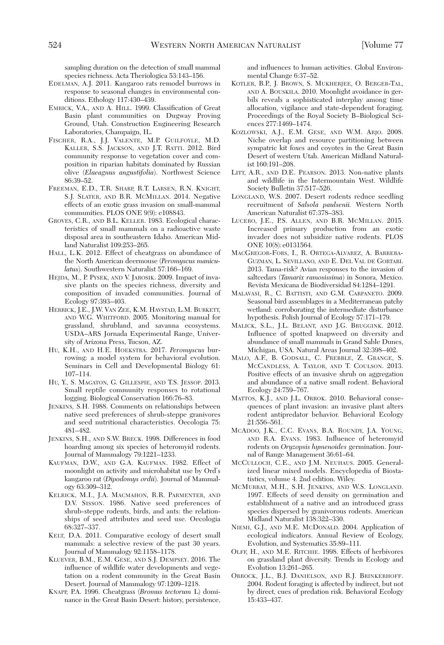sampling duration on the detection of small mammal species richness. Acta Theriologica 53:143–156.

- EDELMAN, A.J. 2011. Kangaroo rats remodel burrows in response to seasonal changes in environmental conditions. Ethology 117:430–439.
- EMRICK, V.A., AND A. HILL. 1999. Classification of Great Basin plant communities on Dugway Proving Ground, Utah. Construction Engineering Research Laboratories, Champaign, IL.
- FISCHER, R.A., J.J. VALENTE, M.P. GUILFOYLE, M.D. KALLER, S.S. JACKSON, AND J.T. RATTI. 2012. Bird community response to vegetation cover and composition in riparian habitats dominated by Russian olive (*Elaeagnus angustifolia*). Northwest Science 86:39–52.
- FREEMAN, E.D., T.R. SHARP, R.T. LARSEN, R.N. KNIGHT, S.J. SLATER, AND B.R. MCMILLAN. 2014. Negative effects of an exotic grass invasion on small-mammal communities. PLOS ONE 9(9): e108843.
- GROVES, C.R., AND B.L. KELLER. 1983. Ecological characteristics of small mammals on a radioactive waste disposal area in southeastern Idaho. American Midland Naturalist 109:253–265.
- HALL, L.K. 2012. Effect of cheatgrass on abundance of the North American deermouse (*Peromyscus maniculatus*). Southwestern Naturalist 57:166–169.
- HEJDA, M., P. PYSEK, AND V. JAROSIK. 2009. Impact of invasive plants on the species richness, diversity and composition of invaded communities. Journal of Ecology 97:393–403.
- HERRICK, J.E., J.W. VAN ZEE, K.M. HAVSTAD, L.M. BURKETT, AND W.G. WHITFORD. 2005. Monitoring manual for grassland, shrubland, and savanna ecosystems. USDA–ARS Jornada Experimental Range, University of Arizona Press, Tucson, AZ.
- HU, K.H., AND H.E. HOEKSTRA. 2017. *Peromyscus* burrowing: a model system for behavioral evolution. Seminars in Cell and Developmental Biology 61: 107–114.
- HU, Y., S. MAGATON, G. GILLESPIE, AND T.S. JESSOP. 2013. Small reptile community responses to rotational logging. Biological Conservation 166:76–83.
- JENKINS, S.H. 1988. Comments on relationships between native seed preferences of shrub-steppe granivores and seed nutritional characteristics. Oecologia 75: 481–482.
- JENKINS, S.H., AND S.W. BRECK. 1998. Differences in food hoarding among six species of heteromyid rodents. Journal of Mammalogy 79:1221–1233.
- KAUFMAN, D.W., AND G.A. KAUFMAN. 1982. Effect of moonlight on activity and microhabitat use by Ord's kangaroo rat (*Dipodomys ordii*). Journal of Mammalogy 63:309–312.
- KELRICK, M.I., J.A. MACMAHON, R.R. PARMENTER, AND D.V. SISSON. 1986. Native seed preferences of shrub-steppe rodents, birds, and ants: the relationships of seed attributes and seed use. Oecologia 68:327–337.
- KELT, D.A. 2011. Comparative ecology of desert small mammals: a selective review of the past 30 years. Journal of Mammalogy 92:1158–1178.
- KLUEVER, B.M., E.M. GESE, AND S.J. DEMPSEY. 2016. The influence of wildlife water developments and vegetation on a rodent community in the Great Basin Desert. Journal of Mammalogy 97:1209–1218.
- KNAPP, P.A. 1996. Cheatgrass (*Bromus tectorum* L) dominance in the Great Basin Desert: history, persistence,

and influences to human activities. Global Environmental Change 6:37–52.

- KOTLER, B.P., J. BROWN, S. MUKHERJEE, O. BERGER-TAL, AND A. BOUSKILA. 2010. Moonlight avoidance in gerbils reveals a sophisticated interplay among time allocation, vigilance and state-dependent foraging. Proceedings of the Royal Society B–Biological Sciences 277:1469–1474.
- KOZLOWSKI, A.J., E.M. GESE, AND W.M. ARJO. 2008. Niche overlap and resource partitioning between sympatric kit foxes and coyotes in the Great Basin Desert of western Utah. American Midland Naturalist 160:191–208.
- LITT, A.R., AND D.E. PEARSON. 2013. Non-native plants and wildlife in the Intermountain West. Wildlife Society Bulletin 37:517–526.
- LONGLAND, W.S. 2007. Desert rodents reduce seedling recruitment of *Salsola paulsenii.* Western North American Naturalist 67:378–383.
- LUCERO, J.E., P.S. ALLEN, AND B.R. MCMILLAN. 2015. Increased primary production from an exotic invader does not subsidize native rodents. PLOS ONE 10(8): e0131564.
- MACGREGOR-FORS, I., R. ORTEGA-ALVAREZ, A. BARRERA-GUZMAN, L. SEVILLANO, AND E. DEL VAL DE GORTARI. 2013. Tama-risk? Avian responses to the invasion of saltcedars (*Tamarix ramosissima*) in Sonora, Mexico. Revista Mexicana de Biodiversidad 84:1284–1291.
- MALAVASI, R., C. BATTISTI, AND G.M. CARPANETO. 2009. Seasonal bird assemblages in a Mediterranean patchy wetland: corroborating the intermediate disturbance hypothesis. Polish Journal of Ecology 57:171–179.
- MALICK, S.L., J.L. BELANT, AND J.G. BRUGGINK. 2012. Influence of spotted knapweed on diversity and abundance of small mammals in Grand Sable Dunes, Michigan, USA. Natural Areas Journal 32:398–402.
- MALO, A.F., B. GODSALL, C. PREBBLE, Z. GRANGE, S. MCCANDLESS, A. TAYLOR, AND T. COULSON. 2013. Positive effects of an invasive shrub on aggregation and abundance of a native small rodent. Behavioral Ecology 24:759–767.
- MATTOS, K.J., AND J.L. ORROK. 2010. Behavioral consequences of plant invasion: an invasive plant alters rodent antipredator behavior. Behavioral Ecology 21:556–561.
- MCADOO, J.K., C.C. EVANS, B.A. ROUNDY, J.A. YOUNG, AND R.A. EVANS. 1983. Influence of heteromyid rodents on *Oryzopsis hymenoides* germination. Journal of Range Management 36:61–64.
- MCCULLOCH, C.E., AND J.M. NEUHAUS. 2005. Generalized linear mixed models. Encyclopedia of Biostatistics, volume 4. 2nd edition. Wiley.
- MCMURRAY, M.H., S.H. JENKINS, AND W.S. LONGLAND. 1997. Effects of seed density on germination and establishment of a native and an introduced grass species dispersed by granivorous rodents. American Midland Naturalist 138:322–330.
- NIEMI, G.J., AND M.E. MCDONALD. 2004. Application of ecological indicators. Annual Review of Ecology, Evolution, and Systematics 35:89–111.
- OLFF, H., AND M.E. RITCHIE. 1998. Effects of herbivores on grassland plant diversity. Trends in Ecology and Evolution 13:261–265.
- ORROCK, J.L., B.J. DANIELSON, AND R.J. BRINKERHOFF. 2004. Rodent foraging is affected by indirect, but not by direct, cues of predation risk. Behavioral Ecology 15:433–437.